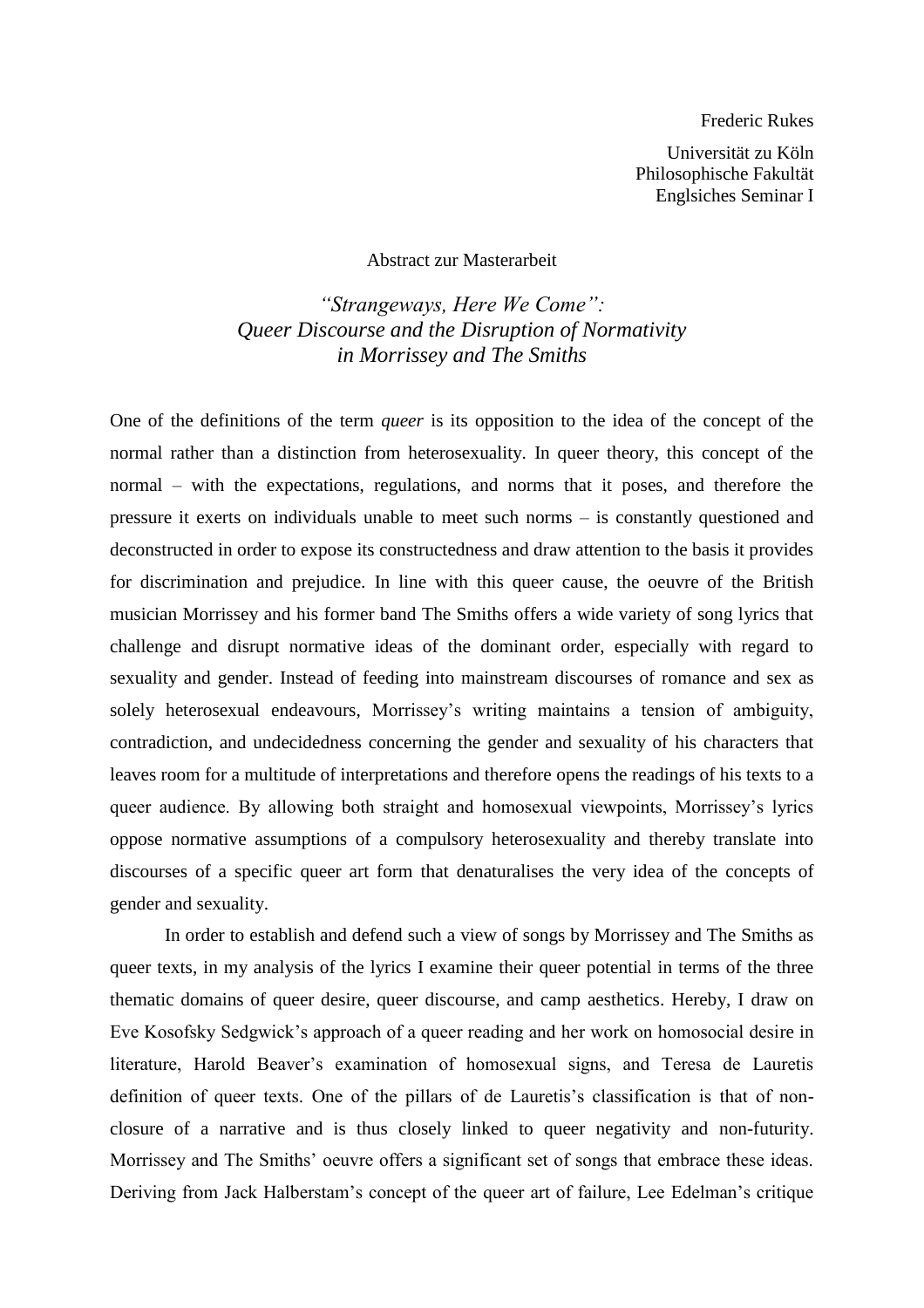Frederic Rukes

Universität zu Köln Philosophische Fakultät Englsiches Seminar I

Abstract zur Masterarbeit

*"Strangeways, Here We Come": Queer Discourse and the Disruption of Normativity in Morrissey and The Smiths*

One of the definitions of the term *queer* is its opposition to the idea of the concept of the normal rather than a distinction from heterosexuality. In queer theory, this concept of the normal – with the expectations, regulations, and norms that it poses, and therefore the pressure it exerts on individuals unable to meet such norms – is constantly questioned and deconstructed in order to expose its constructedness and draw attention to the basis it provides for discrimination and prejudice. In line with this queer cause, the oeuvre of the British musician Morrissey and his former band The Smiths offers a wide variety of song lyrics that challenge and disrupt normative ideas of the dominant order, especially with regard to sexuality and gender. Instead of feeding into mainstream discourses of romance and sex as solely heterosexual endeavours, Morrissey's writing maintains a tension of ambiguity, contradiction, and undecidedness concerning the gender and sexuality of his characters that leaves room for a multitude of interpretations and therefore opens the readings of his texts to a queer audience. By allowing both straight and homosexual viewpoints, Morrissey's lyrics oppose normative assumptions of a compulsory heterosexuality and thereby translate into discourses of a specific queer art form that denaturalises the very idea of the concepts of gender and sexuality.

In order to establish and defend such a view of songs by Morrissey and The Smiths as queer texts, in my analysis of the lyrics I examine their queer potential in terms of the three thematic domains of queer desire, queer discourse, and camp aesthetics. Hereby, I draw on Eve Kosofsky Sedgwick's approach of a queer reading and her work on homosocial desire in literature, Harold Beaver's examination of homosexual signs, and Teresa de Lauretis definition of queer texts. One of the pillars of de Lauretis's classification is that of nonclosure of a narrative and is thus closely linked to queer negativity and non-futurity. Morrissey and The Smiths' oeuvre offers a significant set of songs that embrace these ideas. Deriving from Jack Halberstam's concept of the queer art of failure, Lee Edelman's critique